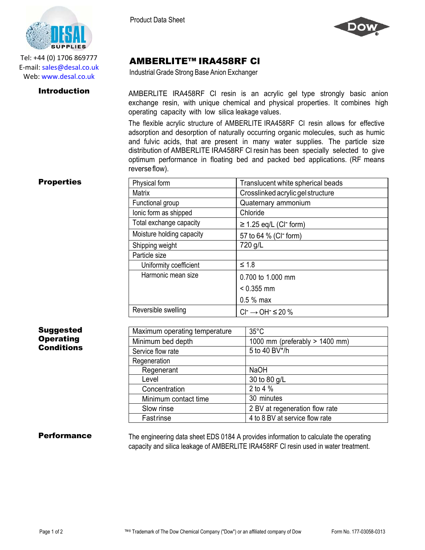

Tel: +44 (0) 1706 869777 E‐mail: sales@desal.co.uk Web: www.desal.co.uk

Product Data Sheet



# AMBERLITE™ IRA458RF Cl

Industrial Grade Strong Base Anion Exchanger

**Introduction** AMBERLITE IRA458RF CI resin is an acrylic gel type strongly basic anion exchange resin, with unique chemical and physical properties. It combines high operating capacity with low silica leakage values.

> The flexible acrylic structure of AMBERLITE IRA458RF Cl resin allows for effective adsorption and desorption of naturally occurring organic molecules, such as humic and fulvic acids, that are present in many water supplies. The particle size distribution of AMBERLITE IRA458RF Cl resin has been specially selected to give optimum performance in floating bed and packed bed applications. (RF means reverse flow).

## **Properties**

| Physical form             | Translucent white spherical beads       |
|---------------------------|-----------------------------------------|
| <b>Matrix</b>             | Crosslinked acrylic gel structure       |
| Functional group          | Quaternary ammonium                     |
| lonic form as shipped     | Chloride                                |
| Total exchange capacity   | $\geq$ 1.25 eq/L (CI <sup>-</sup> form) |
| Moisture holding capacity | 57 to 64 % (CI <sup>-</sup> form)       |
| Shipping weight           | 720 g/L                                 |
| Particle size             |                                         |
| Uniformity coefficient    | $\leq 1.8$                              |
| Harmonic mean size        | 0.700 to 1.000 mm                       |
|                           | $< 0.355$ mm                            |
|                           | $0.5%$ max                              |
| Reversible swelling       | $Cl^- \rightarrow OH^- \leq 20\%$       |

## Suggested **Operating Conditions**

| Maximum operating temperature | $35^{\circ}$ C                 |
|-------------------------------|--------------------------------|
| Minimum bed depth             | 1000 mm (preferably > 1400 mm) |
| Service flow rate             | 5 to 40 BV*/h                  |
| Regeneration                  |                                |
| Regenerant                    | <b>NaOH</b>                    |
| Level                         | 30 to 80 g/L                   |
| Concentration                 | 2 to 4 %                       |
| Minimum contact time          | 30 minutes                     |
| Slow rinse                    | 2 BV at regeneration flow rate |
| Fastrinse                     | 4 to 8 BV at service flow rate |

**Performance** The engineering data sheet EDS 0184 A provides information to calculate the operating capacity and silica leakage of AMBERLITE IRA458RF Cl resin used in water treatment.